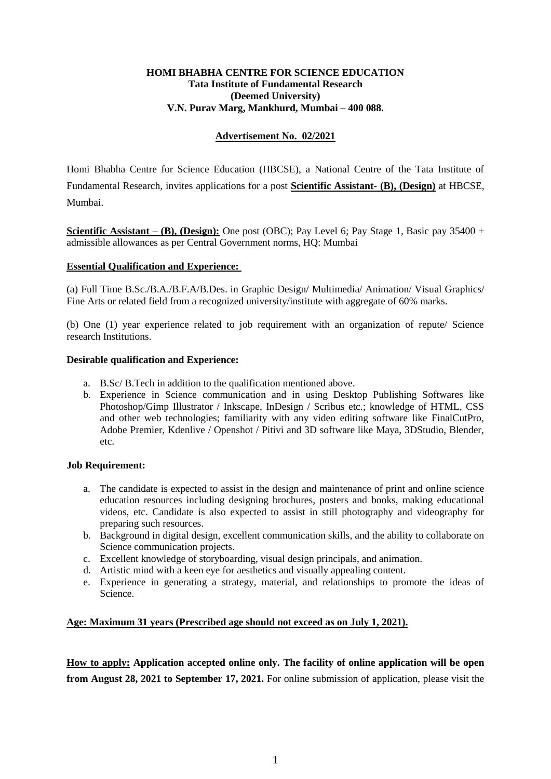### **HOMI BHABHA CENTRE FOR SCIENCE EDUCATION Tata Institute of Fundamental Research (Deemed University) V.N. Purav Marg, Mankhurd, Mumbai – 400 088.**

# **Advertisement No. 02/2021**

Homi Bhabha Centre for Science Education (HBCSE), a National Centre of the Tata Institute of Fundamental Research, invites applications for a post **Scientific Assistant- (B), (Design)** at HBCSE, Mumbai.

**Scientific Assistant – <b>(B)**, **(Design):** One post **(OBC)**; Pay Level 6; Pay Stage 1, Basic pay 35400 + admissible allowances as per Central Government norms, HQ: Mumbai

#### **Essential Qualification and Experience:**

(a) Full Time B.Sc./B.A./B.F.A/B.Des. in Graphic Design/ Multimedia/ Animation/ Visual Graphics/ Fine Arts or related field from a recognized university/institute with aggregate of 60% marks.

(b) One (1) year experience related to job requirement with an organization of repute/ Science research Institutions.

#### **Desirable qualification and Experience:**

- a. B.Sc/ B.Tech in addition to the qualification mentioned above.
- b. Experience in Science communication and in using Desktop Publishing Softwares like Photoshop/Gimp Illustrator / Inkscape, InDesign / Scribus etc.; knowledge of HTML, CSS and other web technologies; familiarity with any video editing software like FinalCutPro, Adobe Premier, Kdenlive / Openshot / Pitivi and 3D software like Maya, 3DStudio, Blender, etc.

#### **Job Requirement:**

- a. The candidate is expected to assist in the design and maintenance of print and online science education resources including designing brochures, posters and books, making educational videos, etc. Candidate is also expected to assist in still photography and videography for preparing such resources.
- b. Background in digital design, excellent communication skills, and the ability to collaborate on Science communication projects.
- c. Excellent knowledge of storyboarding, visual design principals, and animation.
- d. Artistic mind with a keen eye for aesthetics and visually appealing content.
- e. Experience in generating a strategy, material, and relationships to promote the ideas of Science.

# **Age: Maximum 31 years (Prescribed age should not exceed as on July 1, 2021).**

**How to apply: Application accepted online only. The facility of online application will be open from August 28, 2021 to September 17, 2021.** For online submission of application, please visit the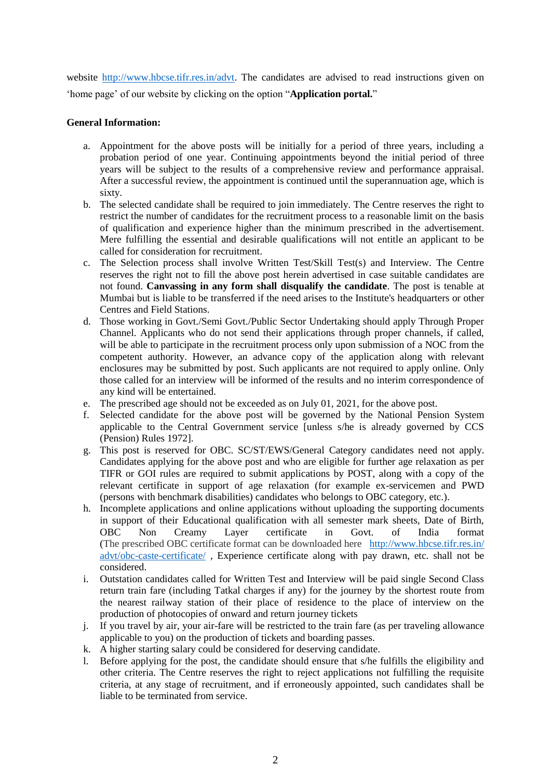website [http://www.hbcse.tifr.res.in/advt.](http://www.hbcse.tifr.res.in/advt) The candidates are advised to read instructions given on "home page" of our website by clicking on the option "**Application portal.**"

# **General Information:**

- a. Appointment for the above posts will be initially for a period of three years, including a probation period of one year. Continuing appointments beyond the initial period of three years will be subject to the results of a comprehensive review and performance appraisal. After a successful review, the appointment is continued until the superannuation age, which is sixty.
- b. The selected candidate shall be required to join immediately. The Centre reserves the right to restrict the number of candidates for the recruitment process to a reasonable limit on the basis of qualification and experience higher than the minimum prescribed in the advertisement. Mere fulfilling the essential and desirable qualifications will not entitle an applicant to be called for consideration for recruitment.
- c. The Selection process shall involve Written Test/Skill Test(s) and Interview. The Centre reserves the right not to fill the above post herein advertised in case suitable candidates are not found. **Canvassing in any form shall disqualify the candidate**. The post is tenable at Mumbai but is liable to be transferred if the need arises to the Institute's headquarters or other Centres and Field Stations.
- d. Those working in Govt./Semi Govt./Public Sector Undertaking should apply Through Proper Channel. Applicants who do not send their applications through proper channels, if called, will be able to participate in the recruitment process only upon submission of a NOC from the competent authority. However, an advance copy of the application along with relevant enclosures may be submitted by post. Such applicants are not required to apply online. Only those called for an interview will be informed of the results and no interim correspondence of any kind will be entertained.
- e. The prescribed age should not be exceeded as on July 01, 2021, for the above post.
- f. Selected candidate for the above post will be governed by the National Pension System applicable to the Central Government service [unless s/he is already governed by CCS (Pension) Rules 1972].
- g. This post is reserved for OBC. SC/ST/EWS/General Category candidates need not apply. Candidates applying for the above post and who are eligible for further age relaxation as per TIFR or GOI rules are required to submit applications by POST, along with a copy of the relevant certificate in support of age relaxation (for example ex-servicemen and PWD (persons with benchmark disabilities) candidates who belongs to OBC category, etc.).
- h. Incomplete applications and online applications without uploading the supporting documents in support of their Educational qualification with all semester mark sheets, Date of Birth, OBC Non Creamy Layer certificate in Govt. of India format (The prescribed OBC certificate format can be downloaded here [http://www.hbcse.tifr.res.in/](http://www.hbcse.tifr.res.in/advt/obc-caste-certificate/) [advt/obc-caste-certificate/](http://www.hbcse.tifr.res.in/advt/obc-caste-certificate/) , Experience certificate along with pay drawn, etc. shall not be considered.
- i. Outstation candidates called for Written Test and Interview will be paid single Second Class return train fare (including Tatkal charges if any) for the journey by the shortest route from the nearest railway station of their place of residence to the place of interview on the production of photocopies of onward and return journey tickets
- j. If you travel by air, your air-fare will be restricted to the train fare (as per traveling allowance applicable to you) on the production of tickets and boarding passes.
- k. A higher starting salary could be considered for deserving candidate.
- l. Before applying for the post, the candidate should ensure that s/he fulfills the eligibility and other criteria. The Centre reserves the right to reject applications not fulfilling the requisite criteria, at any stage of recruitment, and if erroneously appointed, such candidates shall be liable to be terminated from service.